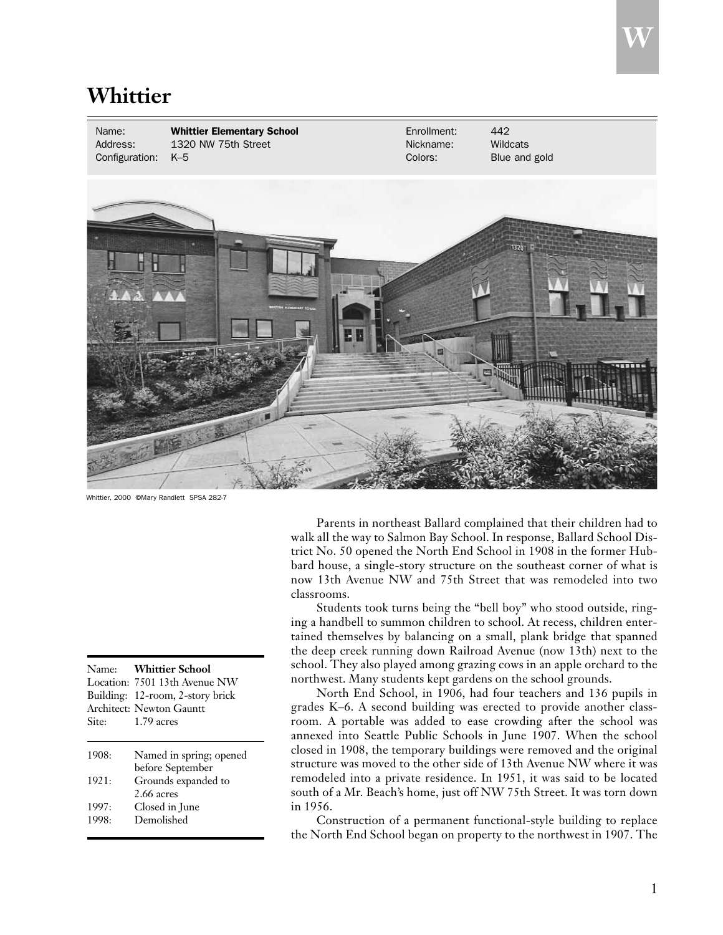## **Whittier**

Name: **Whittier Elementary School Enrollment:** 442<br>Address: 1320 NW 75th Street **Enrollment:** Nickname: Wildcats Address: 1320 NW 75th Street Nickname: Nickname: Configuration: K–5 Colors: Blue and gold

Whittier, 2000 ©Mary Randlett SPSA 282-7

|                | Name: Whittier School<br>Location: 7501 13th Avenue NW<br>Building: 12-room, 2-story brick<br>Architect: Newton Gauntt |
|----------------|------------------------------------------------------------------------------------------------------------------------|
| Site:          | $1.79$ acres                                                                                                           |
| 1908:          | Named in spring; opened<br>before September                                                                            |
| 1921:          | Grounds expanded to<br>2.66 acres                                                                                      |
| 1997:<br>1998: | Closed in June<br>Demolished                                                                                           |

Parents in northeast Ballard complained that their children had to walk all the way to Salmon Bay School. In response, Ballard School District No. 50 opened the North End School in 1908 in the former Hubbard house, a single-story structure on the southeast corner of what is now 13th Avenue NW and 75th Street that was remodeled into two classrooms.

Students took turns being the "bell boy" who stood outside, ringing a handbell to summon children to school. At recess, children entertained themselves by balancing on a small, plank bridge that spanned the deep creek running down Railroad Avenue (now 13th) next to the school. They also played among grazing cows in an apple orchard to the northwest. Many students kept gardens on the school grounds.

North End School, in 1906, had four teachers and 136 pupils in grades K–6. A second building was erected to provide another classroom. A portable was added to ease crowding after the school was annexed into Seattle Public Schools in June 1907. When the school closed in 1908, the temporary buildings were removed and the original structure was moved to the other side of 13th Avenue NW where it was remodeled into a private residence. In 1951, it was said to be located south of a Mr. Beach's home, just off NW 75th Street. It was torn down in 1956.

Construction of a permanent functional-style building to replace the North End School began on property to the northwest in 1907. The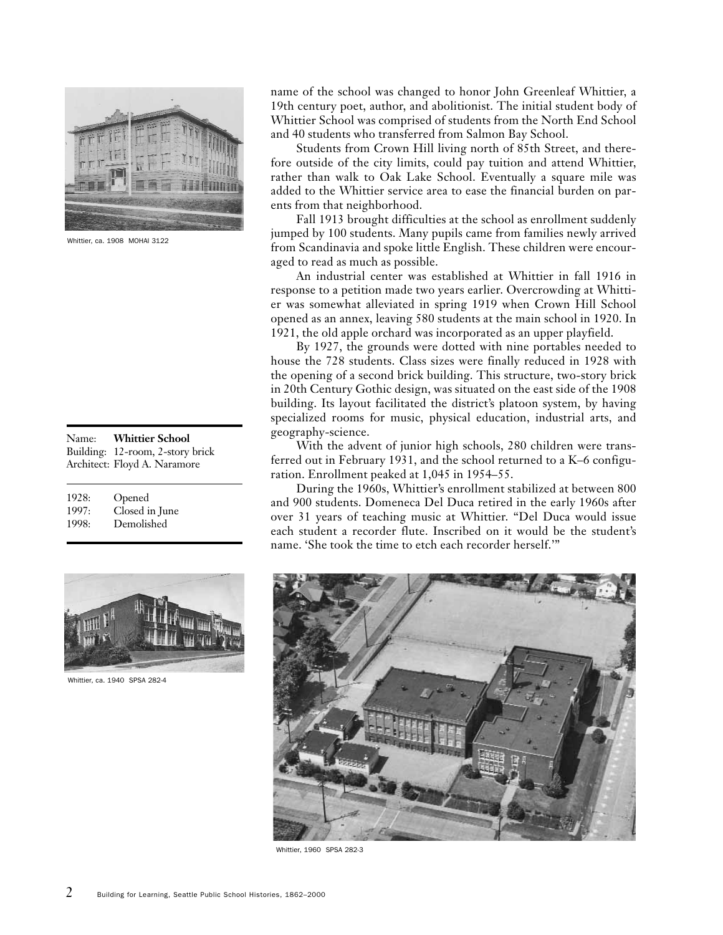

Whittier, ca. 1908 MOHAI 3122

|       | Name: Whittier School            |
|-------|----------------------------------|
|       | Building: 12-room, 2-story brick |
|       | Architect: Floyd A. Naramore     |
|       |                                  |
| 1928: | Opened                           |

| .     | $-$ posses     |
|-------|----------------|
| 1997: | Closed in June |
| 1998: | Demolished     |



Whittier, ca. 1940 SPSA 282-4

name of the school was changed to honor John Greenleaf Whittier, a 19th century poet, author, and abolitionist. The initial student body of Whittier School was comprised of students from the North End School and 40 students who transferred from Salmon Bay School.

Students from Crown Hill living north of 85th Street, and therefore outside of the city limits, could pay tuition and attend Whittier, rather than walk to Oak Lake School. Eventually a square mile was added to the Whittier service area to ease the financial burden on parents from that neighborhood.

Fall 1913 brought difficulties at the school as enrollment suddenly jumped by 100 students. Many pupils came from families newly arrived from Scandinavia and spoke little English. These children were encouraged to read as much as possible.

An industrial center was established at Whittier in fall 1916 in response to a petition made two years earlier. Overcrowding at Whittier was somewhat alleviated in spring 1919 when Crown Hill School opened as an annex, leaving 580 students at the main school in 1920. In 1921, the old apple orchard was incorporated as an upper playfield.

By 1927, the grounds were dotted with nine portables needed to house the 728 students. Class sizes were finally reduced in 1928 with the opening of a second brick building. This structure, two-story brick in 20th Century Gothic design, was situated on the east side of the 1908 building. Its layout facilitated the district's platoon system, by having specialized rooms for music, physical education, industrial arts, and geography-science.

With the advent of junior high schools, 280 children were transferred out in February 1931, and the school returned to a K–6 configuration. Enrollment peaked at 1,045 in 1954–55.

During the 1960s, Whittier's enrollment stabilized at between 800 and 900 students. Domeneca Del Duca retired in the early 1960s after over 31 years of teaching music at Whittier. "Del Duca would issue each student a recorder flute. Inscribed on it would be the student's name. 'She took the time to etch each recorder herself.'"



Whittier, 1960 SPSA 282-3